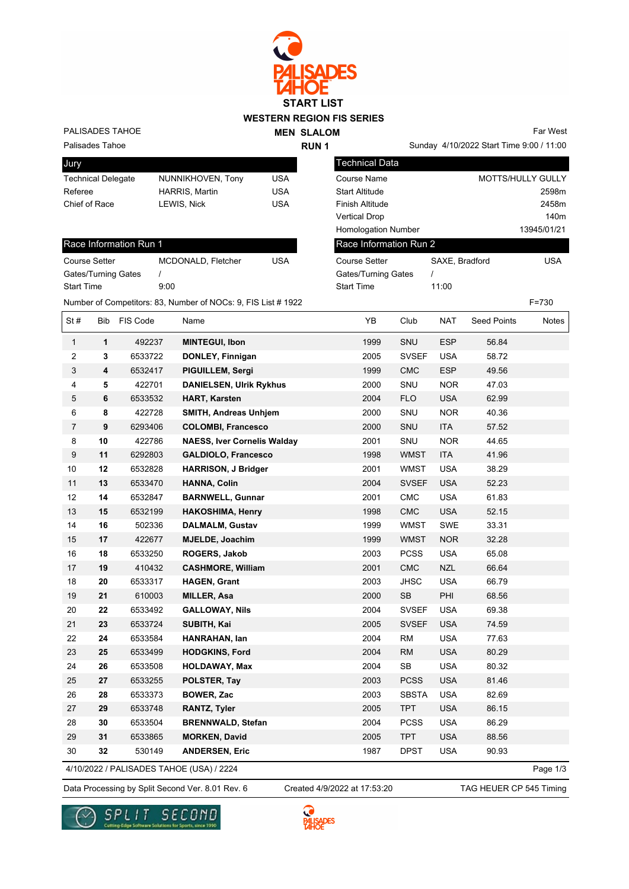

PALISADES TAHOE

Race Information Run 1

Gates/Turning Gates / Start Time 9:00 **MEN SLALOM RUN 1**

Sunday 4/10/2022 Start Time 9:00 / 11:00 Far West

Palisades Tahoe

| Jury                      |                       |     |
|---------------------------|-----------------------|-----|
| <b>Technical Delegate</b> | NUNNIKHOVEN, Tony     | USA |
| Referee                   | <b>HARRIS, Martin</b> | USA |
| Chief of Race             | LEWIS, Nick           | USA |
|                           |                       |     |

Course Setter MCDONALD, Fletcher USA

| Technical Data             |                |                          |
|----------------------------|----------------|--------------------------|
| Course Name                |                | <b>MOTTS/HULLY GULLY</b> |
| <b>Start Altitude</b>      |                | 2598m                    |
| <b>Finish Altitude</b>     |                | 2458m                    |
| <b>Vertical Drop</b>       |                | 140 <sub>m</sub>         |
| <b>Homologation Number</b> |                | 13945/01/21              |
| Race Information Run 2     |                |                          |
| Course Setter              | SAXE. Bradford | USA                      |
| Gates/Turning Gates        |                |                          |
| <b>Start Time</b>          | 11:00          |                          |

Number of Competitors: 83, Number of NOCs: 9, FIS List # 1922 F=730 St # Bib FIS Code Name YB Club NAT Seed Points Notes  **1** 492237 **MINTEGUI, Ibon** 1999 SNU ESP 56.84  **3** 6533722 **DONLEY, Finnigan** 2005 SVSEF USA 58.72  **4** 6532417 **PIGUILLEM, Sergi** 1999 CMC ESP 49.56  **5** 422701 **DANIELSEN, Ulrik Rykhus** 2000 SNU NOR 47.03  **6** 6533532 **HART, Karsten** 2004 FLO USA 62.99  **8** 422728 **SMITH, Andreas Unhjem** 2000 SNU NOR 40.36  **9** 6293406 **COLOMBI, Francesco** 2000 SNU ITA 57.52  **10** 422786 **NAESS, Iver Cornelis Walday** 2001 SNU NOR 44.65  **11** 6292803 **GALDIOLO, Francesco** 1998 WMST ITA 41.96  **12** 6532828 **HARRISON, J Bridger** 2001 WMST USA 38.29  **13** 6533470 **HANNA, Colin** 2004 SVSEF USA 52.23  **14** 6532847 **BARNWELL, Gunnar** 2001 CMC USA 61.83  **15** 6532199 **HAKOSHIMA, Henry** 1998 CMC USA 52.15  **16** 502336 **DALMALM, Gustav** 1999 WMST SWE 33.31  **17** 422677 **MJELDE, Joachim** 1999 WMST NOR 32.28  **18** 6533250 **ROGERS, Jakob** 2003 PCSS USA 65.08  **19** 410432 **CASHMORE, William** 2001 CMC NZL 66.64  **20** 6533317 **HAGEN, Grant** 2003 JHSC USA 66.79  **21** 610003 **MILLER, Asa** 2000 SB PHI 68.56  **22** 6533492 **GALLOWAY, Nils** 2004 SVSEF USA 69.38  **23** 6533724 **SUBITH, Kai** 2005 SVSEF USA 74.59  **24** 6533584 **HANRAHAN, Ian** 2004 RM USA 77.63  **25** 6533499 **HODGKINS, Ford** 2004 RM USA 80.29  **26** 6533508 **HOLDAWAY, Max** 2004 SB USA 80.32  **27** 6533255 **POLSTER, Tay** 2003 PCSS USA 81.46  **28** 6533373 **BOWER, Zac** 2003 SBSTA USA 82.69  **29** 6533748 **RANTZ, Tyler** 2005 TPT USA 86.15  **30** 6533504 **BRENNWALD, Stefan** 2004 PCSS USA 86.29  **31** 6533865 **MORKEN, David** 2005 TPT USA 88.56  **32** 530149 **ANDERSEN, Eric** 1987 DPST USA 90.93 Page 1/3

4/10/2022 / PALISADES TAHOE (USA) / 2224

Data Processing by Split Second Ver. 8.01 Rev. 6 Created 4/9/2022 at 17:53:20 TAG HEUER CP 545 Timing Created 4/9/2022 at 17:53:20



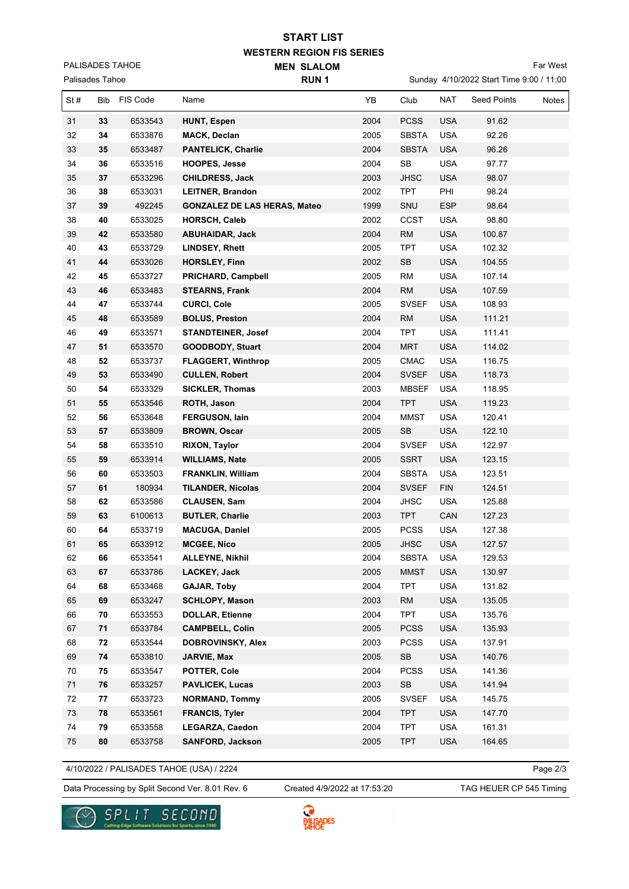## **WESTERN REGION FIS SERIES START LIST**

**MEN SLALOM** 

PALISADES TAHOE

| Palisades Tahoe |     |          | RUN <sub>1</sub>                    |      | Sunday 4/10/2022 Start Time 9:00 / 11:00 |            |                    |       |
|-----------------|-----|----------|-------------------------------------|------|------------------------------------------|------------|--------------------|-------|
| St#             | Bib | FIS Code | Name                                | YB   | Club                                     | <b>NAT</b> | <b>Seed Points</b> | Notes |
| 31              | 33  | 6533543  | <b>HUNT, Espen</b>                  | 2004 | <b>PCSS</b>                              | <b>USA</b> | 91.62              |       |
| 32              | 34  | 6533876  | <b>MACK, Declan</b>                 | 2005 | <b>SBSTA</b>                             | <b>USA</b> | 92.26              |       |
| 33              | 35  | 6533487  | <b>PANTELICK, Charlie</b>           | 2004 | <b>SBSTA</b>                             | <b>USA</b> | 96.26              |       |
| 34              | 36  | 6533516  | <b>HOOPES, Jesse</b>                | 2004 | SB                                       | <b>USA</b> | 97.77              |       |
| 35              | 37  | 6533296  | <b>CHILDRESS, Jack</b>              | 2003 | <b>JHSC</b>                              | <b>USA</b> | 98.07              |       |
| 36              | 38  | 6533031  | <b>LEITNER, Brandon</b>             | 2002 | <b>TPT</b>                               | PHI        | 98.24              |       |
| 37              | 39  | 492245   | <b>GONZALEZ DE LAS HERAS, Mateo</b> | 1999 | SNU                                      | ESP        | 98.64              |       |
| 38              | 40  | 6533025  | <b>HORSCH, Caleb</b>                | 2002 | CCST                                     | <b>USA</b> | 98.80              |       |
| 39              | 42  | 6533580  | <b>ABUHAIDAR, Jack</b>              | 2004 | <b>RM</b>                                | <b>USA</b> | 100.87             |       |
| 40              | 43  | 6533729  | <b>LINDSEY, Rhett</b>               | 2005 | <b>TPT</b>                               | <b>USA</b> | 102.32             |       |
| 41              | 44  | 6533026  | HORSLEY, Finn                       | 2002 | SB                                       | <b>USA</b> | 104.55             |       |
| 42              | 45  | 6533727  | PRICHARD, Campbell                  | 2005 | <b>RM</b>                                | <b>USA</b> | 107.14             |       |
| 43              | 46  | 6533483  | <b>STEARNS, Frank</b>               | 2004 | <b>RM</b>                                | <b>USA</b> | 107.59             |       |
| 44              | 47  | 6533744  | <b>CURCI, Cole</b>                  | 2005 | <b>SVSEF</b>                             | <b>USA</b> | 108.93             |       |
| 45              | 48  | 6533589  | <b>BOLUS, Preston</b>               | 2004 | <b>RM</b>                                | <b>USA</b> | 111.21             |       |
| 46              | 49  | 6533571  | <b>STANDTEINER, Josef</b>           | 2004 | <b>TPT</b>                               | <b>USA</b> | 111.41             |       |
| 47              | 51  | 6533570  | <b>GOODBODY, Stuart</b>             | 2004 | <b>MRT</b>                               | <b>USA</b> | 114.02             |       |
| 48              | 52  | 6533737  | <b>FLAGGERT, Winthrop</b>           | 2005 | <b>CMAC</b>                              | <b>USA</b> | 116.75             |       |
| 49              | 53  | 6533490  | <b>CULLEN, Robert</b>               | 2004 | <b>SVSEF</b>                             | <b>USA</b> | 118.73             |       |
| 50              | 54  | 6533329  | <b>SICKLER, Thomas</b>              | 2003 | <b>MBSEF</b>                             | <b>USA</b> | 118.95             |       |
| 51              | 55  | 6533546  | <b>ROTH, Jason</b>                  | 2004 | <b>TPT</b>                               | <b>USA</b> | 119.23             |       |
| 52              | 56  | 6533648  | <b>FERGUSON, lain</b>               | 2004 | <b>MMST</b>                              | <b>USA</b> | 120.41             |       |
| 53              | 57  | 6533809  | <b>BROWN, Oscar</b>                 | 2005 | $\mathsf{SB}\xspace$                     | <b>USA</b> | 122.10             |       |
| 54              | 58  | 6533510  | <b>RIXON, Taylor</b>                | 2004 | <b>SVSEF</b>                             | <b>USA</b> | 122.97             |       |
| 55              | 59  | 6533914  | <b>WILLIAMS, Nate</b>               | 2005 | <b>SSRT</b>                              | <b>USA</b> | 123.15             |       |
| 56              | 60  | 6533503  | <b>FRANKLIN, William</b>            | 2004 | <b>SBSTA</b>                             | <b>USA</b> | 123.51             |       |
| 57              | 61  | 180934   | <b>TILANDER, Nicolas</b>            | 2004 | <b>SVSEF</b>                             | <b>FIN</b> | 124.51             |       |
| 58              | 62  | 6533586  | <b>CLAUSEN, Sam</b>                 | 2004 | <b>JHSC</b>                              | <b>USA</b> | 125.88             |       |
| 59              | 63  | 6100613  | <b>BUTLER, Charlie</b>              | 2003 | <b>TPT</b>                               | CAN        | 127.23             |       |
| 60              | 64  | 6533719  | <b>MACUGA, Daniel</b>               | 2005 | <b>PCSS</b>                              | <b>USA</b> | 127.38             |       |
| 61              | 65  | 6533912  | <b>MCGEE, Nico</b>                  | 2005 | JHSC                                     | <b>USA</b> | 127.57             |       |
| 62              | 66  | 6533541  | <b>ALLEYNE, Nikhil</b>              | 2004 | <b>SBSTA</b>                             | USA        | 129.53             |       |
| 63              | 67  | 6533786  | LACKEY, Jack                        | 2005 | <b>MMST</b>                              | <b>USA</b> | 130.97             |       |
| 64              | 68  | 6533468  | GAJAR, Toby                         | 2004 | <b>TPT</b>                               | USA        | 131.82             |       |
| 65              | 69  | 6533247  | <b>SCHLOPY, Mason</b>               | 2003 | <b>RM</b>                                | <b>USA</b> | 135.05             |       |
| 66              | 70  | 6533553  | <b>DOLLAR, Etienne</b>              | 2004 | <b>TPT</b>                               | <b>USA</b> | 135.76             |       |
| 67              | 71  | 6533784  | <b>CAMPBELL, Colin</b>              | 2005 | <b>PCSS</b>                              | <b>USA</b> | 135.93             |       |
| 68              | 72  | 6533544  | <b>DOBROVINSKY, Alex</b>            | 2003 | <b>PCSS</b>                              | <b>USA</b> | 137.91             |       |
| 69              | 74  | 6533810  | JARVIE, Max                         | 2005 | SB                                       | <b>USA</b> | 140.76             |       |
| 70              | 75  | 6533547  | POTTER, Cole                        | 2004 | <b>PCSS</b>                              | <b>USA</b> | 141.36             |       |
| 71              | 76  | 6533257  | <b>PAVLICEK, Lucas</b>              | 2003 | $\mathsf{SB}\xspace$                     | <b>USA</b> | 141.94             |       |
| 72              | 77  | 6533723  | <b>NORMAND, Tommy</b>               | 2005 | <b>SVSEF</b>                             | <b>USA</b> | 145.75             |       |
| 73              | 78  | 6533561  | <b>FRANCIS, Tyler</b>               | 2004 | <b>TPT</b>                               | <b>USA</b> | 147.70             |       |
| 74              | 79  | 6533558  | LEGARZA, Caedon                     | 2004 | <b>TPT</b>                               | USA        | 161.31             |       |
| 75              | 80  | 6533758  | <b>SANFORD, Jackson</b>             | 2005 | <b>TPT</b>                               | <b>USA</b> | 164.65             |       |

4/10/2022 / PALISADES TAHOE (USA) / 2224

Page 2/3

Data Processing by Split Second Ver. 8.01 Rev. 6 Created 4/9/2022 at 17:53:20 TAG HEUER CP 545 Timing

Created 4/9/2022 at 17:53:20